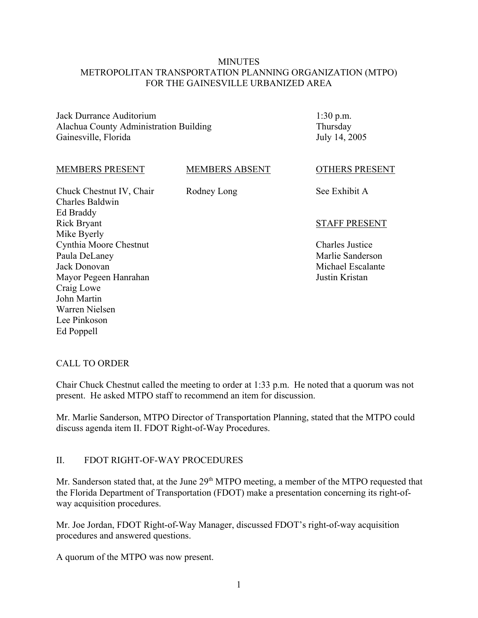### **MINUTES** METROPOLITAN TRANSPORTATION PLANNING ORGANIZATION (MTPO) FOR THE GAINESVILLE URBANIZED AREA

Jack Durrance Auditorium Alachua County Administration Building Gainesville, Florida

1:30 p.m. Thursday July 14, 2005

#### MEMBERS PRESENT

MEMBERS ABSENT

Rodney Long

Chuck Chestnut IV, Chair Charles Baldwin Ed Braddy Rick Bryant Mike Byerly Cynthia Moore Chestnut Paula DeLaney Jack Donovan Mayor Pegeen Hanrahan Craig Lowe John Martin Warren Nielsen Lee Pinkoson Ed Poppell

OTHERS PRESENT

See Exhibit A

#### STAFF PRESENT

Charles Justice Marlie Sanderson Michael Escalante Justin Kristan

#### CALL TO ORDER

Chair Chuck Chestnut called the meeting to order at 1:33 p.m. He noted that a quorum was not present. He asked MTPO staff to recommend an item for discussion.

Mr. Marlie Sanderson, MTPO Director of Transportation Planning, stated that the MTPO could discuss agenda item II. FDOT Right-of-Way Procedures.

#### II. FDOT RIGHT-OF-WAY PROCEDURES

Mr. Sanderson stated that, at the June 29<sup>th</sup> MTPO meeting, a member of the MTPO requested that the Florida Department of Transportation (FDOT) make a presentation concerning its right-ofway acquisition procedures.

Mr. Joe Jordan, FDOT Right-of-Way Manager, discussed FDOT's right-of-way acquisition procedures and answered questions.

A quorum of the MTPO was now present.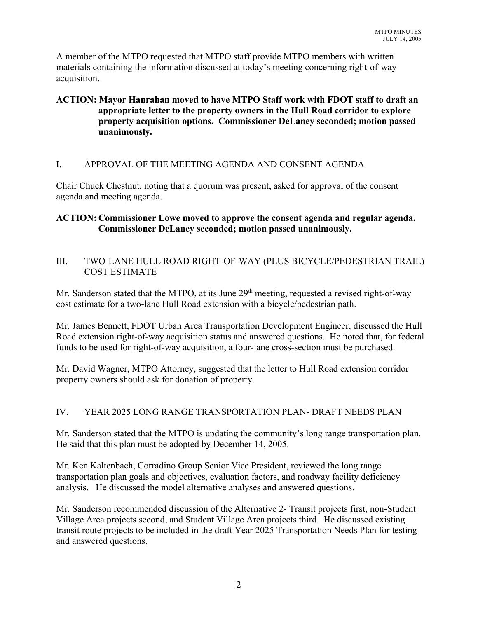A member of the MTPO requested that MTPO staff provide MTPO members with written materials containing the information discussed at today's meeting concerning right-of-way acquisition.

## **ACTION: Mayor Hanrahan moved to have MTPO Staff work with FDOT staff to draft an appropriate letter to the property owners in the Hull Road corridor to explore property acquisition options. Commissioner DeLaney seconded; motion passed unanimously.**

## I. APPROVAL OF THE MEETING AGENDA AND CONSENT AGENDA

Chair Chuck Chestnut, noting that a quorum was present, asked for approval of the consent agenda and meeting agenda.

## **ACTION: Commissioner Lowe moved to approve the consent agenda and regular agenda. Commissioner DeLaney seconded; motion passed unanimously.**

## III. TWO-LANE HULL ROAD RIGHT-OF-WAY (PLUS BICYCLE/PEDESTRIAN TRAIL) COST ESTIMATE

Mr. Sanderson stated that the MTPO, at its June  $29<sup>th</sup>$  meeting, requested a revised right-of-way cost estimate for a two-lane Hull Road extension with a bicycle/pedestrian path.

Mr. James Bennett, FDOT Urban Area Transportation Development Engineer, discussed the Hull Road extension right-of-way acquisition status and answered questions. He noted that, for federal funds to be used for right-of-way acquisition, a four-lane cross-section must be purchased.

Mr. David Wagner, MTPO Attorney, suggested that the letter to Hull Road extension corridor property owners should ask for donation of property.

## IV. YEAR 2025 LONG RANGE TRANSPORTATION PLAN- DRAFT NEEDS PLAN

Mr. Sanderson stated that the MTPO is updating the community's long range transportation plan. He said that this plan must be adopted by December 14, 2005.

Mr. Ken Kaltenbach, Corradino Group Senior Vice President, reviewed the long range transportation plan goals and objectives, evaluation factors, and roadway facility deficiency analysis. He discussed the model alternative analyses and answered questions.

Mr. Sanderson recommended discussion of the Alternative 2- Transit projects first, non-Student Village Area projects second, and Student Village Area projects third. He discussed existing transit route projects to be included in the draft Year 2025 Transportation Needs Plan for testing and answered questions.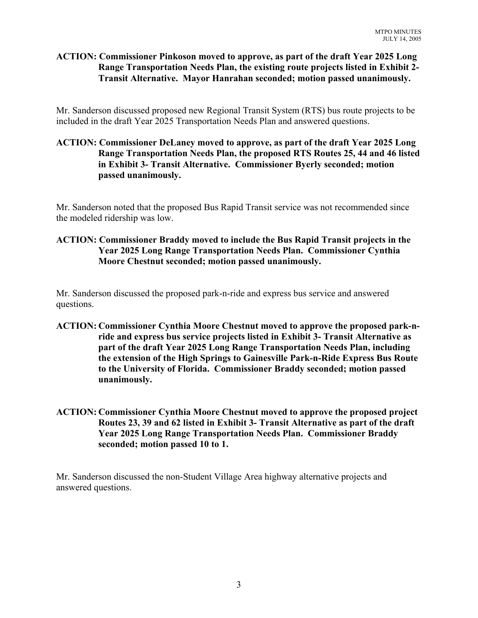## **ACTION: Commissioner Pinkoson moved to approve, as part of the draft Year 2025 Long Range Transportation Needs Plan, the existing route projects listed in Exhibit 2- Transit Alternative. Mayor Hanrahan seconded; motion passed unanimously.**

Mr. Sanderson discussed proposed new Regional Transit System (RTS) bus route projects to be included in the draft Year 2025 Transportation Needs Plan and answered questions.

## **ACTION: Commissioner DeLaney moved to approve, as part of the draft Year 2025 Long Range Transportation Needs Plan, the proposed RTS Routes 25, 44 and 46 listed in Exhibit 3- Transit Alternative. Commissioner Byerly seconded; motion passed unanimously.**

Mr. Sanderson noted that the proposed Bus Rapid Transit service was not recommended since the modeled ridership was low.

## **ACTION: Commissioner Braddy moved to include the Bus Rapid Transit projects in the Year 2025 Long Range Transportation Needs Plan. Commissioner Cynthia Moore Chestnut seconded; motion passed unanimously.**

Mr. Sanderson discussed the proposed park-n-ride and express bus service and answered questions.

- **ACTION: Commissioner Cynthia Moore Chestnut moved to approve the proposed park-nride and express bus service projects listed in Exhibit 3- Transit Alternative as part of the draft Year 2025 Long Range Transportation Needs Plan, including the extension of the High Springs to Gainesville Park-n-Ride Express Bus Route to the University of Florida. Commissioner Braddy seconded; motion passed unanimously.**
- **ACTION: Commissioner Cynthia Moore Chestnut moved to approve the proposed project Routes 23, 39 and 62 listed in Exhibit 3- Transit Alternative as part of the draft Year 2025 Long Range Transportation Needs Plan. Commissioner Braddy seconded; motion passed 10 to 1.**

Mr. Sanderson discussed the non-Student Village Area highway alternative projects and answered questions.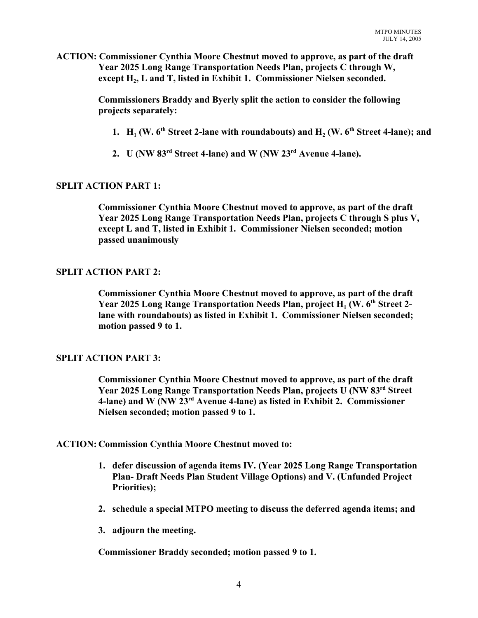**ACTION: Commissioner Cynthia Moore Chestnut moved to approve, as part of the draft Year 2025 Long Range Transportation Needs Plan, projects C through W,** except H<sub>2</sub>, L and T, listed in Exhibit 1. Commissioner Nielsen seconded.

> **Commissioners Braddy and Byerly split the action to consider the following projects separately:**

- **1.**  $H_1$  (W.  $6<sup>th</sup>$  Street 2-lane with roundabouts) and  $H_2$  (W.  $6<sup>th</sup>$  Street 4-lane); and
- **2. U (NW 83rd Street 4-lane) and W (NW 23rd Avenue 4-lane).**

#### **SPLIT ACTION PART 1:**

**Commissioner Cynthia Moore Chestnut moved to approve, as part of the draft Year 2025 Long Range Transportation Needs Plan, projects C through S plus V, except L and T, listed in Exhibit 1. Commissioner Nielsen seconded; motion passed unanimously**

#### **SPLIT ACTION PART 2:**

**Commissioner Cynthia Moore Chestnut moved to approve, as part of the draft Year 2025 Long Range Transportation Needs Plan, project H<sub>1</sub> (W. 6<sup>th</sup> Street 2lane with roundabouts) as listed in Exhibit 1. Commissioner Nielsen seconded; motion passed 9 to 1.**

#### **SPLIT ACTION PART 3:**

**Commissioner Cynthia Moore Chestnut moved to approve, as part of the draft Year 2025 Long Range Transportation Needs Plan, projects U (NW 83rd Street 4-lane) and W (NW 23rd Avenue 4-lane) as listed in Exhibit 2. Commissioner Nielsen seconded; motion passed 9 to 1.**

**ACTION: Commission Cynthia Moore Chestnut moved to:** 

- **1. defer discussion of agenda items IV. (Year 2025 Long Range Transportation Plan- Draft Needs Plan Student Village Options) and V. (Unfunded Project Priorities);**
- **2. schedule a special MTPO meeting to discuss the deferred agenda items; and**
- **3. adjourn the meeting.**

**Commissioner Braddy seconded; motion passed 9 to 1.**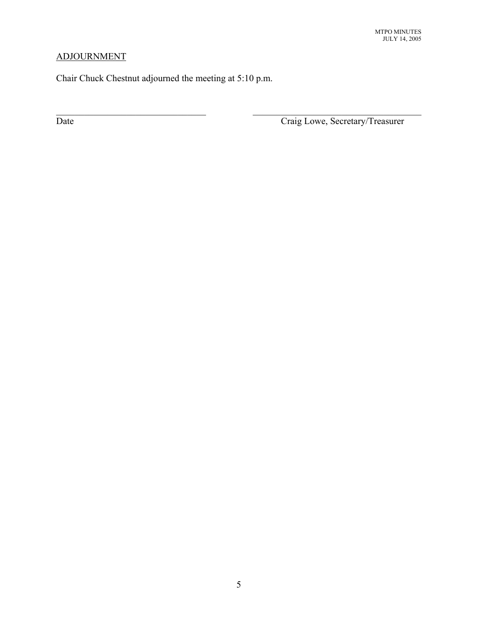# ADJOURNMENT

Chair Chuck Chestnut adjourned the meeting at 5:10 p.m.

 $\mathcal{L}_\text{max}$  , and the contribution of the contribution of the contribution of the contribution of the contribution of the contribution of the contribution of the contribution of the contribution of the contribution of t

Date Craig Lowe, Secretary/Treasurer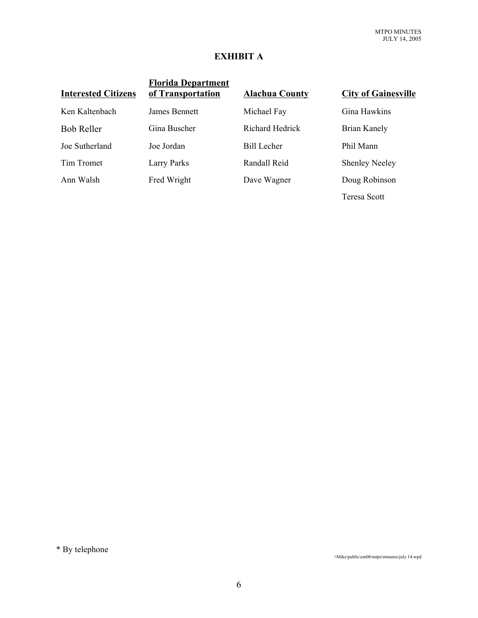## **EXHIBIT A**

| <b>Interested Citizens</b> | <b>Florida Department</b><br>of Transportation | <b>Alachua County</b>  | <b>City of Gainesville</b> |
|----------------------------|------------------------------------------------|------------------------|----------------------------|
| Ken Kaltenbach             | James Bennett                                  | Michael Fay            | Gina Hawkins               |
| <b>Bob Reller</b>          | Gina Buscher                                   | <b>Richard Hedrick</b> | Brian Kanely               |
| Joe Sutherland             | Joe Jordan                                     | <b>Bill Lecher</b>     | Phil Mann                  |
| Tim Tromet                 | <b>Larry Parks</b>                             | Randall Reid           | <b>Shenley Neeley</b>      |
| Ann Walsh                  | Fred Wright                                    | Dave Wagner            | Doug Robinson              |
|                            |                                                |                        | Teresa Scott               |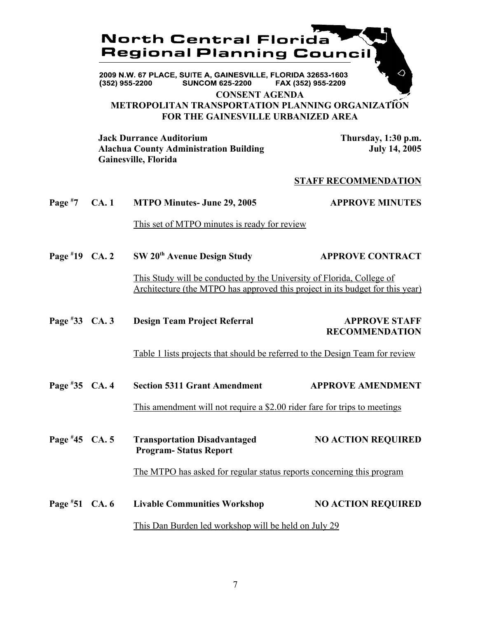

2009 N.W. 67 PLACE, SUITE A, GAINESVILLE, FLORIDA 32653-1603 **SUNCOM 625-2200** FAX (352) 955-2209 (352) 955-2200

### **CONSENT AGENDA METROPOLITAN TRANSPORTATION PLANNING ORGANIZATION FOR THE GAINESVILLE URBANIZED AREA**

**Jack Durrance Auditorium 1.130 p.m.**<br>Alachua County Administration Building 1.14 July 14, 2005 **Alachua County Administration Building Gainesville, Florida**

 $\Diamond$ 

#### **STAFF RECOMMENDATION**

| Page $*7$       | <b>CA.1</b> | <b>MTPO Minutes- June 29, 2005</b>                                                                                                                     | <b>APPROVE MINUTES</b>                        |
|-----------------|-------------|--------------------------------------------------------------------------------------------------------------------------------------------------------|-----------------------------------------------|
|                 |             | This set of MTPO minutes is ready for review                                                                                                           |                                               |
| Page #19 $CA.2$ |             | SW 20 <sup>th</sup> Avenue Design Study                                                                                                                | <b>APPROVE CONTRACT</b>                       |
|                 |             | This Study will be conducted by the University of Florida, College of<br>Architecture (the MTPO has approved this project in its budget for this year) |                                               |
| Page #33 CA. 3  |             | <b>Design Team Project Referral</b>                                                                                                                    | <b>APPROVE STAFF</b><br><b>RECOMMENDATION</b> |
|                 |             | Table 1 lists projects that should be referred to the Design Team for review                                                                           |                                               |
| Page #35 CA. 4  |             | <b>Section 5311 Grant Amendment</b>                                                                                                                    | <b>APPROVE AMENDMENT</b>                      |
|                 |             | This amendment will not require a \$2.00 rider fare for trips to meetings                                                                              |                                               |
| Page #45 CA. 5  |             | <b>Transportation Disadvantaged</b><br><b>Program-Status Report</b>                                                                                    | <b>NO ACTION REQUIRED</b>                     |
|                 |             | The MTPO has asked for regular status reports concerning this program                                                                                  |                                               |
| Page #51 CA. 6  |             | <b>Livable Communities Workshop</b>                                                                                                                    | <b>NO ACTION REQUIRED</b>                     |
|                 |             | This Dan Burden led workshop will be held on July 29                                                                                                   |                                               |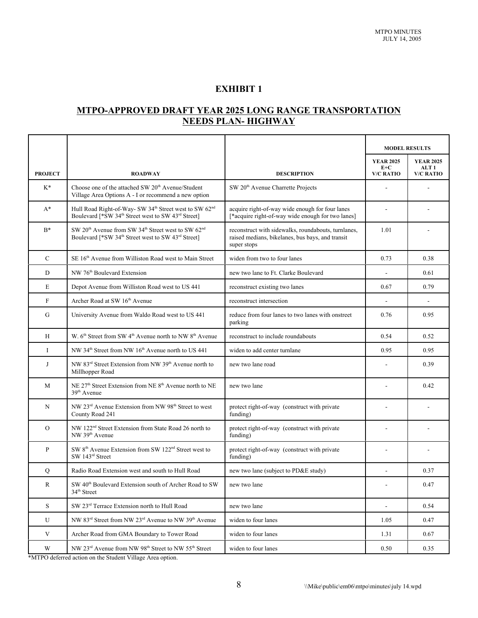## **EXHIBIT 1**

## **MTPO-APPROVED DRAFT YEAR 2025 LONG RANGE TRANSPORTATION NEEDS PLAN- HIGHWAY**

|                         |                                                                                                                                                                      |                                                                                                                        | <b>MODEL RESULTS</b>      |                           |
|-------------------------|----------------------------------------------------------------------------------------------------------------------------------------------------------------------|------------------------------------------------------------------------------------------------------------------------|---------------------------|---------------------------|
|                         |                                                                                                                                                                      |                                                                                                                        | <b>YEAR 2025</b><br>$E+C$ | <b>YEAR 2025</b><br>ALT 1 |
| <b>PROJECT</b>          | <b>ROADWAY</b>                                                                                                                                                       | <b>DESCRIPTION</b>                                                                                                     | <b>V/C RATIO</b>          | <b>V/C RATIO</b>          |
| $K^*$                   | Choose one of the attached SW 20 <sup>th</sup> Avenue/Student<br>Village Area Options A - I or recommend a new option                                                | SW 20 <sup>th</sup> Avenue Charrette Projects                                                                          |                           |                           |
| $A^*$                   | Hull Road Right-of-Way- SW 34 <sup>th</sup> Street west to SW 62 <sup>nd</sup><br>Boulevard [*SW 34 <sup>th</sup> Street west to SW 43 <sup>rd</sup> Street]         | acquire right-of-way wide enough for four lanes<br>[*acquire right-of-way wide enough for two lanes]                   |                           |                           |
| $B^*$                   | SW 20 <sup>th</sup> Avenue from SW 34 <sup>th</sup> Street west to SW 62 <sup>nd</sup><br>Boulevard [*SW 34 <sup>th</sup> Street west to SW 43 <sup>rd</sup> Street] | reconstruct with sidewalks, roundabouts, turnlanes,<br>raised medians, bikelanes, bus bays, and transit<br>super stops | 1.01                      |                           |
| $\mathcal{C}$           | SE 16 <sup>th</sup> Avenue from Williston Road west to Main Street                                                                                                   | widen from two to four lanes                                                                                           | 0.73                      | 0.38                      |
| ${\rm D}$               | NW 76 <sup>th</sup> Boulevard Extension                                                                                                                              | new two lane to Ft. Clarke Boulevard                                                                                   | $\blacksquare$            | 0.61                      |
| E                       | Depot Avenue from Williston Road west to US 441                                                                                                                      | reconstruct existing two lanes                                                                                         | 0.67                      | 0.79                      |
| ${\bf F}$               | Archer Road at SW 16th Avenue                                                                                                                                        | reconstruct intersection                                                                                               | $\Box$                    |                           |
| G                       | University Avenue from Waldo Road west to US 441                                                                                                                     | reduce from four lanes to two lanes with onstreet<br>parking                                                           | 0.76                      | 0.95                      |
| H                       | W. 6 <sup>th</sup> Street from SW 4 <sup>th</sup> Avenue north to NW 8 <sup>th</sup> Avenue                                                                          | reconstruct to include roundabouts                                                                                     | 0.54                      | 0.52                      |
| $\mathbf I$             | NW 34 <sup>th</sup> Street from NW 16 <sup>th</sup> Avenue north to US 441                                                                                           | widen to add center turnlane                                                                                           | 0.95                      | 0.95                      |
| J                       | NW 83 <sup>rd</sup> Street Extension from NW 39 <sup>th</sup> Avenue north to<br>Millhopper Road                                                                     | new two lane road                                                                                                      |                           | 0.39                      |
| M                       | NE 27 <sup>th</sup> Street Extension from NE 8 <sup>th</sup> Avenue north to NE<br>39 <sup>th</sup> Avenue                                                           | new two lane                                                                                                           | ÷,                        | 0.42                      |
| N                       | NW 23 <sup>rd</sup> Avenue Extension from NW 98 <sup>th</sup> Street to west<br>County Road 241                                                                      | protect right-of-way (construct with private<br>funding)                                                               |                           |                           |
| $\overline{O}$          | NW 122 <sup>nd</sup> Street Extension from State Road 26 north to<br>NW 39 <sup>th</sup> Avenue                                                                      | protect right-of-way (construct with private<br>funding)                                                               |                           |                           |
| $\, {\bf P}$            | SW 8 <sup>th</sup> Avenue Extension from SW 122 <sup>nd</sup> Street west to<br>SW 143rd Street                                                                      | protect right-of-way (construct with private<br>funding)                                                               |                           |                           |
| Q                       | Radio Road Extension west and south to Hull Road                                                                                                                     | new two lane (subject to PD&E study)                                                                                   | ÷,                        | 0.37                      |
| R                       | SW 40 <sup>th</sup> Boulevard Extension south of Archer Road to SW<br>34 <sup>th</sup> Street                                                                        | new two lane                                                                                                           |                           | 0.47                      |
| $\mathbf S$             | SW 23rd Terrace Extension north to Hull Road                                                                                                                         | new two lane                                                                                                           | $\blacksquare$            | 0.54                      |
| U                       | NW 83 <sup>rd</sup> Street from NW 23 <sup>rd</sup> Avenue to NW 39 <sup>th</sup> Avenue                                                                             | widen to four lanes                                                                                                    | 1.05                      | 0.47                      |
| $\ensuremath{\text{V}}$ | Archer Road from GMA Boundary to Tower Road                                                                                                                          | widen to four lanes                                                                                                    | 1.31                      | 0.67                      |
| W                       | NW 23 <sup>rd</sup> Avenue from NW 98 <sup>th</sup> Street to NW 55 <sup>th</sup> Street                                                                             | widen to four lanes                                                                                                    | 0.50                      | 0.35                      |

\*MTPO deferred action on the Student Village Area option.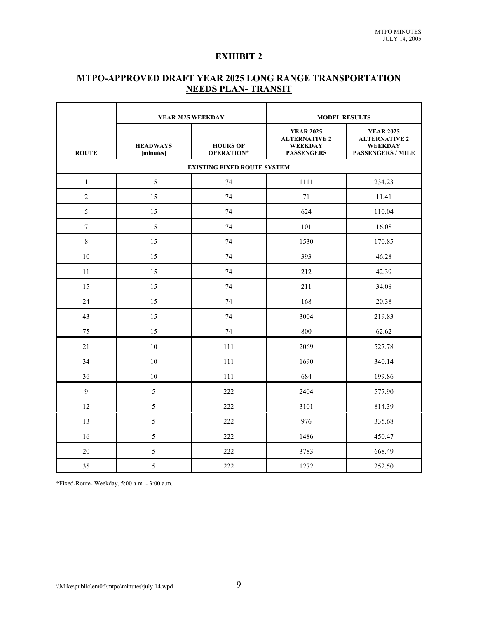## **EXHIBIT 2**

## **MTPO-APPROVED DRAFT YEAR 2025 LONG RANGE TRANSPORTATION NEEDS PLAN- TRANSIT**

|                | YEAR 2025 WEEKDAY                  |                               | <b>MODEL RESULTS</b>                                                            |                                                                                        |  |
|----------------|------------------------------------|-------------------------------|---------------------------------------------------------------------------------|----------------------------------------------------------------------------------------|--|
| <b>ROUTE</b>   | <b>HEADWAYS</b><br>[minutes]       | <b>HOURS OF</b><br>OPERATION* | <b>YEAR 2025</b><br><b>ALTERNATIVE 2</b><br><b>WEEKDAY</b><br><b>PASSENGERS</b> | <b>YEAR 2025</b><br><b>ALTERNATIVE 2</b><br><b>WEEKDAY</b><br><b>PASSENGERS / MILE</b> |  |
|                | <b>EXISTING FIXED ROUTE SYSTEM</b> |                               |                                                                                 |                                                                                        |  |
| $\mathbf{1}$   | 15                                 | 74                            | 1111                                                                            | 234.23                                                                                 |  |
| $\overline{2}$ | 15                                 | 74                            | 71                                                                              | 11.41                                                                                  |  |
| 5              | 15                                 | 74                            | 624                                                                             | 110.04                                                                                 |  |
| $\overline{7}$ | 15                                 | 74                            | 101                                                                             | 16.08                                                                                  |  |
| 8              | 15                                 | 74                            | 1530                                                                            | 170.85                                                                                 |  |
| 10             | 15                                 | 74                            | 393                                                                             | 46.28                                                                                  |  |
| 11             | 15                                 | 74                            | 212                                                                             | 42.39                                                                                  |  |
| 15             | 15                                 | 74                            | 211                                                                             | 34.08                                                                                  |  |
| 24             | 15                                 | 74                            | 168                                                                             | 20.38                                                                                  |  |
| 43             | 15                                 | 74                            | 3004                                                                            | 219.83                                                                                 |  |
| 75             | 15                                 | 74                            | 800                                                                             | 62.62                                                                                  |  |
| 21             | 10                                 | 111                           | 2069                                                                            | 527.78                                                                                 |  |
| 34             | 10                                 | 111                           | 1690                                                                            | 340.14                                                                                 |  |
| 36             | 10                                 | 111                           | 684                                                                             | 199.86                                                                                 |  |
| 9              | 5                                  | 222                           | 2404                                                                            | 577.90                                                                                 |  |
| 12             | 5                                  | 222                           | 3101                                                                            | 814.39                                                                                 |  |
| 13             | 5                                  | 222                           | 976                                                                             | 335.68                                                                                 |  |
| 16             | 5                                  | 222                           | 1486                                                                            | 450.47                                                                                 |  |
| 20             | 5                                  | 222                           | 3783                                                                            | 668.49                                                                                 |  |
| 35             | 5                                  | 222                           | 1272                                                                            | 252.50                                                                                 |  |

\*Fixed-Route- Weekday, 5:00 a.m. - 3:00 a.m.